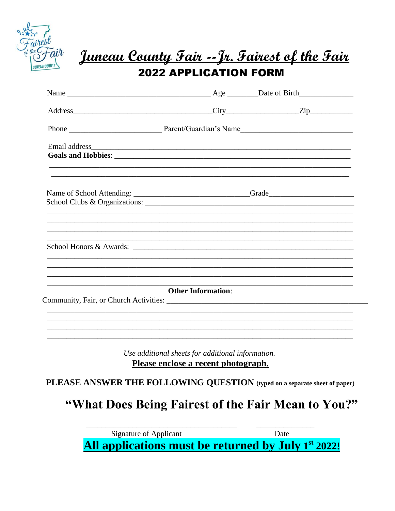

# <u>Juneau County Fair --Jr. Fairest of the Fair</u> **2022 APPLICATION FORM**

| Name of School Attending: ______________________________Grade____________________ |                                                   |                                                                                                                       |
|-----------------------------------------------------------------------------------|---------------------------------------------------|-----------------------------------------------------------------------------------------------------------------------|
| School Honors & Awards:                                                           |                                                   | <u> 1989 - Johann Harry Harry Harry Harry Harry Harry Harry Harry Harry Harry Harry Harry Harry Harry Harry Harry</u> |
|                                                                                   | <b>Other Information:</b>                         |                                                                                                                       |
|                                                                                   | Use additional sheets for additional information. |                                                                                                                       |
|                                                                                   | Please enclose a recent photograph.               |                                                                                                                       |

PLEASE ANSWER THE FOLLOWING QUESTION (typed on a separate sheet of paper)

"What Does Being Fairest of the Fair Mean to You?"

Signature of Applicant Date All applications must be returned by July 1<sup>st</sup> 2022!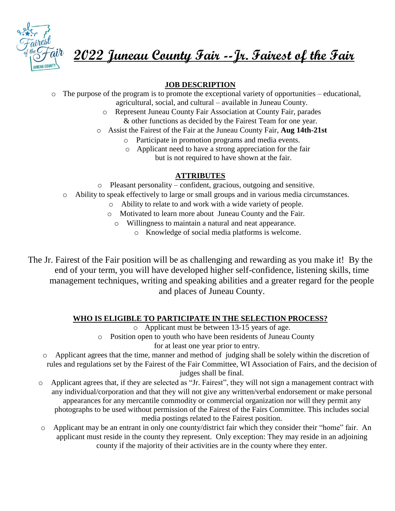

**2022 Juneau County Fair --Jr. Fairest of the Fair**

## **JOB DESCRIPTION**

- o The purpose of the program is to promote the exceptional variety of opportunities educational, agricultural, social, and cultural – available in Juneau County.
	- o Represent Juneau County Fair Association at County Fair, parades & other functions as decided by the Fairest Team for one year.
	- o Assist the Fairest of the Fair at the Juneau County Fair, **Aug 14th-21st**
		- o Participate in promotion programs and media events.
		- o Applicant need to have a strong appreciation for the fair but is not required to have shown at the fair.

### **ATTRIBUTES**

- o Pleasant personality confident, gracious, outgoing and sensitive.
- o Ability to speak effectively to large or small groups and in various media circumstances.
	- o Ability to relate to and work with a wide variety of people.
	- o Motivated to learn more about Juneau County and the Fair.
		- o Willingness to maintain a natural and neat appearance.
			- o Knowledge of social media platforms is welcome.

The Jr. Fairest of the Fair position will be as challenging and rewarding as you make it! By the end of your term, you will have developed higher self-confidence, listening skills, time management techniques, writing and speaking abilities and a greater regard for the people and places of Juneau County.

#### **WHO IS ELIGIBLE TO PARTICIPATE IN THE SELECTION PROCESS?**

o Applicant must be between 13-15 years of age.

o Position open to youth who have been residents of Juneau County

for at least one year prior to entry.

- o Applicant agrees that the time, manner and method of judging shall be solely within the discretion of rules and regulations set by the Fairest of the Fair Committee, WI Association of Fairs, and the decision of judges shall be final.
- o Applicant agrees that, if they are selected as "Jr. Fairest", they will not sign a management contract with any individual/corporation and that they will not give any written/verbal endorsement or make personal appearances for any mercantile commodity or commercial organization nor will they permit any photographs to be used without permission of the Fairest of the Fairs Committee. This includes social media postings related to the Fairest position.
- o Applicant may be an entrant in only one county/district fair which they consider their "home" fair. An applicant must reside in the county they represent. Only exception: They may reside in an adjoining county if the majority of their activities are in the county where they enter.